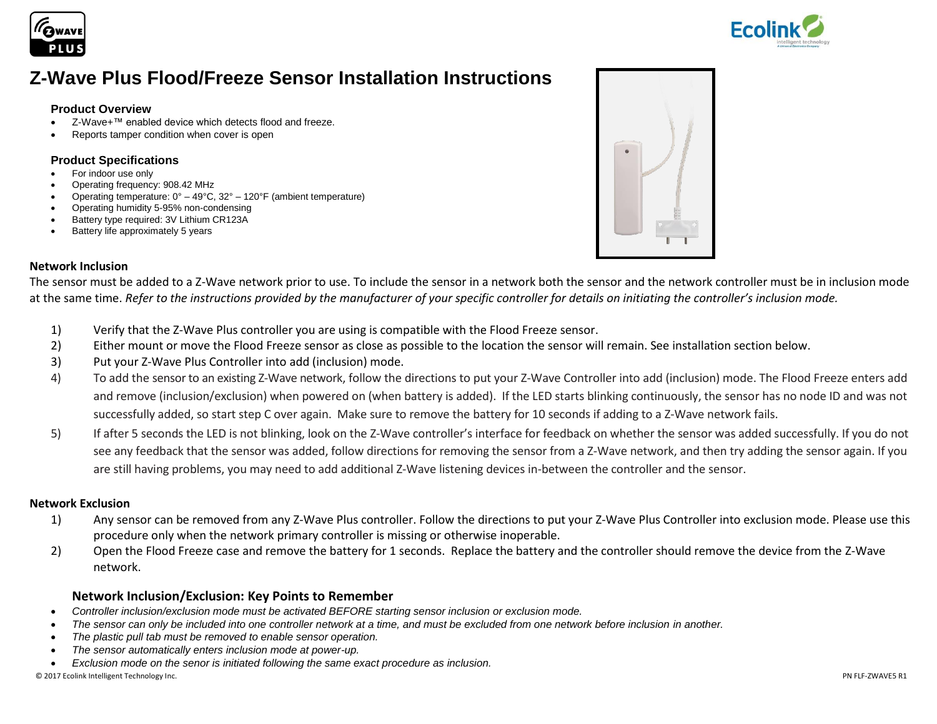



# **Z-Wave Plus Flood/Freeze Sensor Installation Instructions**

#### **Product Overview**

- Z-Wave+™ enabled device which detects flood and freeze.
- Reports tamper condition when cover is open

#### **Product Specifications**

- For indoor use only
- Operating frequency: 908.42 MHz
- Operating temperature:  $0^{\circ} 49^{\circ}$ C, 32° 120°F (ambient temperature)
- Operating humidity 5-95% non-condensing
- Battery type required: 3V Lithium CR123A
- Battery life approximately 5 years



#### **Network Inclusion**

The sensor must be added to a Z-Wave network prior to use. To include the sensor in a network both the sensor and the network controller must be in inclusion mode at the same time. *Refer to the instructions provided by the manufacturer of your specific controller for details on initiating the controller's inclusion mode.*

- 1) Verify that the Z-Wave Plus controller you are using is compatible with the Flood Freeze sensor.
- 2) Either mount or move the Flood Freeze sensor as close as possible to the location the sensor will remain. See installation section below.
- 3) Put your Z-Wave Plus Controller into add (inclusion) mode.
- 4) To add the sensor to an existing Z-Wave network, follow the directions to put your Z-Wave Controller into add (inclusion) mode. The Flood Freeze enters add and remove (inclusion/exclusion) when powered on (when battery is added). If the LED starts blinking continuously, the sensor has no node ID and was not successfully added, so start step C over again. Make sure to remove the battery for 10 seconds if adding to a Z-Wave network fails.
- 5) If after 5 seconds the LED is not blinking, look on the Z-Wave controller's interface for feedback on whether the sensor was added successfully. If you do not see any feedback that the sensor was added, follow directions for removing the sensor from a Z-Wave network, and then try adding the sensor again. If you are still having problems, you may need to add additional Z-Wave listening devices in-between the controller and the sensor.

#### **Network Exclusion**

- 1) Any sensor can be removed from any Z-Wave Plus controller. Follow the directions to put your Z-Wave Plus Controller into exclusion mode. Please use this procedure only when the network primary controller is missing or otherwise inoperable.
- 2) Open the Flood Freeze case and remove the battery for 1 seconds. Replace the battery and the controller should remove the device from the Z-Wave network.

## **Network Inclusion/Exclusion: Key Points to Remember**

- *Controller inclusion/exclusion mode must be activated BEFORE starting sensor inclusion or exclusion mode.*
- The sensor can only be included into one controller network at a time, and must be excluded from one network before inclusion in another.
- *The plastic pull tab must be removed to enable sensor operation.*
- *The sensor automatically enters inclusion mode at power-up.*
- *Exclusion mode on the senor is initiated following the same exact procedure as inclusion.*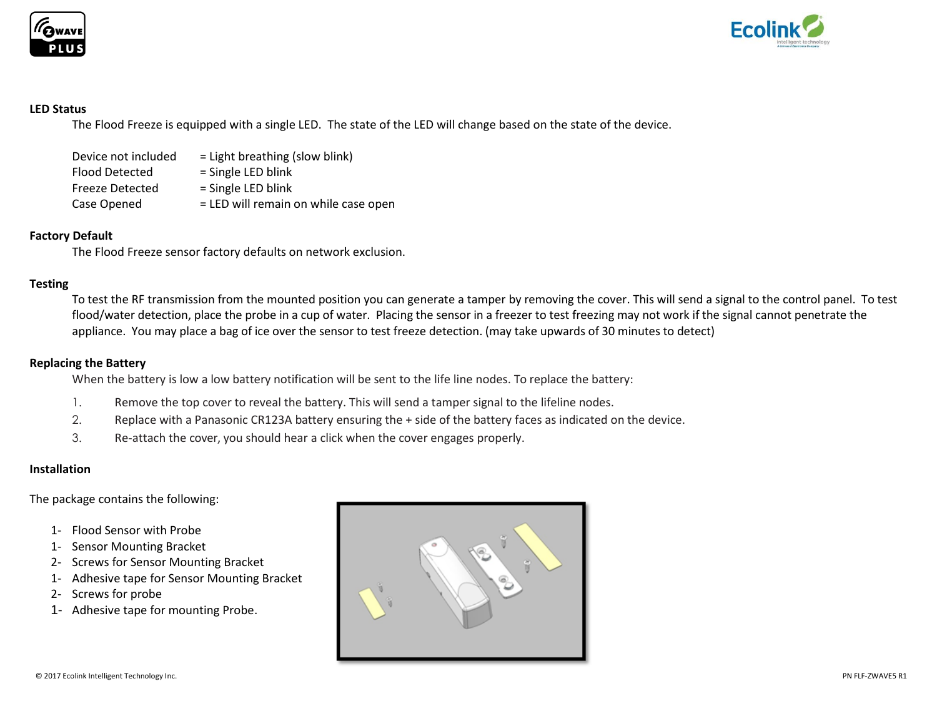



#### **LED Status**

The Flood Freeze is equipped with a single LED. The state of the LED will change based on the state of the device.

| Device not included    | $=$ Light breathing (slow blink)     |
|------------------------|--------------------------------------|
| <b>Flood Detected</b>  | = Single LED blink                   |
| <b>Freeze Detected</b> | $=$ Single LED blink                 |
| Case Opened            | = LED will remain on while case open |

#### **Factory Default**

The Flood Freeze sensor factory defaults on network exclusion.

#### **Testing**

To test the RF transmission from the mounted position you can generate a tamper by removing the cover. This will send a signal to the control panel. To test flood/water detection, place the probe in a cup of water. Placing the sensor in a freezer to test freezing may not work if the signal cannot penetrate the appliance. You may place a bag of ice over the sensor to test freeze detection. (may take upwards of 30 minutes to detect)

#### **Replacing the Battery**

When the battery is low a low battery notification will be sent to the life line nodes. To replace the battery:

- 1. Remove the top cover to reveal the battery. This will send a tamper signal to the lifeline nodes.
- 2. Replace with a Panasonic CR123A battery ensuring the + side of the battery faces as indicated on the device.
- 3. Re-attach the cover, you should hear a click when the cover engages properly.

#### **Installation**

The package contains the following:

- 1- Flood Sensor with Probe
- 1- Sensor Mounting Bracket
- 2- Screws for Sensor Mounting Bracket
- 1- Adhesive tape for Sensor Mounting Bracket
- 2- Screws for probe
- 1- Adhesive tape for mounting Probe.

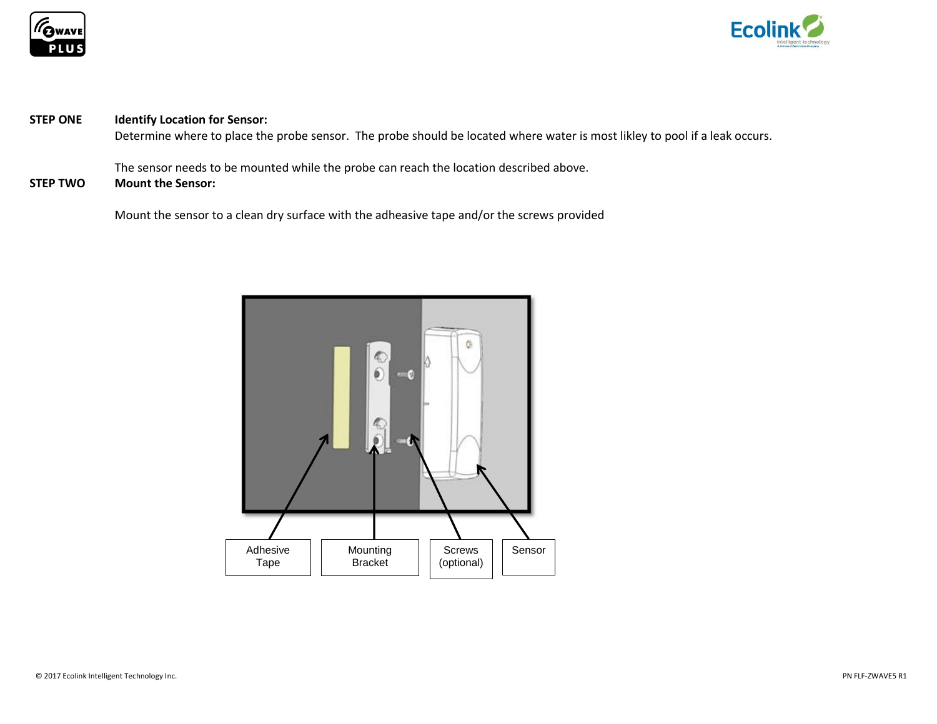



## **STEP ONE Identify Location for Sensor:**

Determine where to place the probe sensor. The probe should be located where water is most likley to pool if a leak occurs.

The sensor needs to be mounted while the probe can reach the location described above.

# **STEP TWO Mount the Sensor:**

Mount the sensor to a clean dry surface with the adheasive tape and/or the screws provided

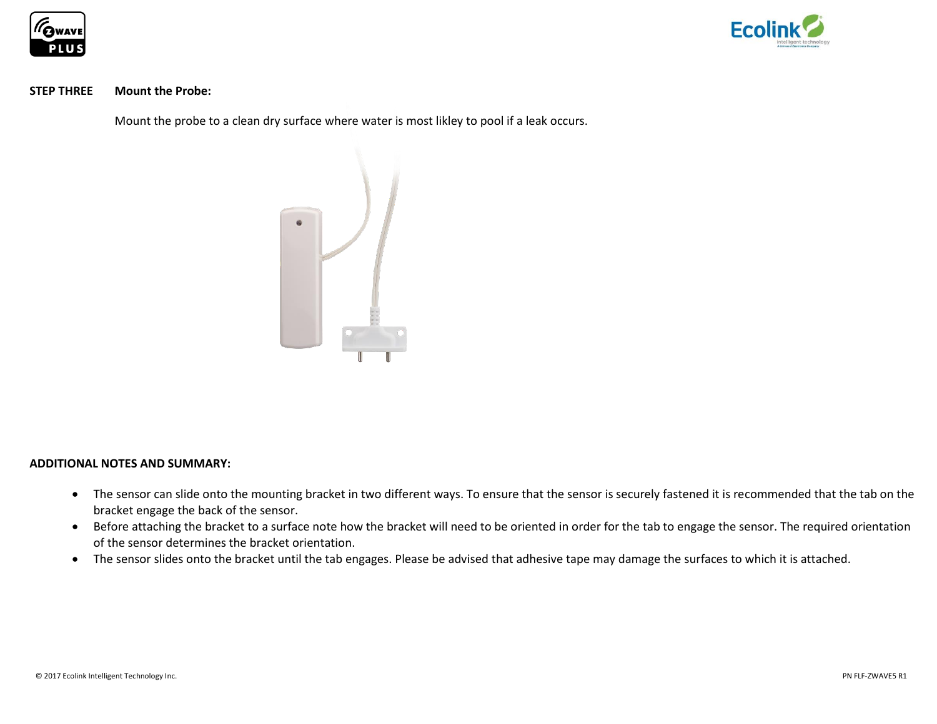



#### **STEP THREE Mount the Probe:**

Mount the probe to a clean dry surface where water is most likley to pool if a leak occurs.



#### **ADDITIONAL NOTES AND SUMMARY:**

- The sensor can slide onto the mounting bracket in two different ways. To ensure that the sensor is securely fastened it is recommended that the tab on the bracket engage the back of the sensor.
- Before attaching the bracket to a surface note how the bracket will need to be oriented in order for the tab to engage the sensor. The required orientation of the sensor determines the bracket orientation.
- The sensor slides onto the bracket until the tab engages. Please be advised that adhesive tape may damage the surfaces to which it is attached.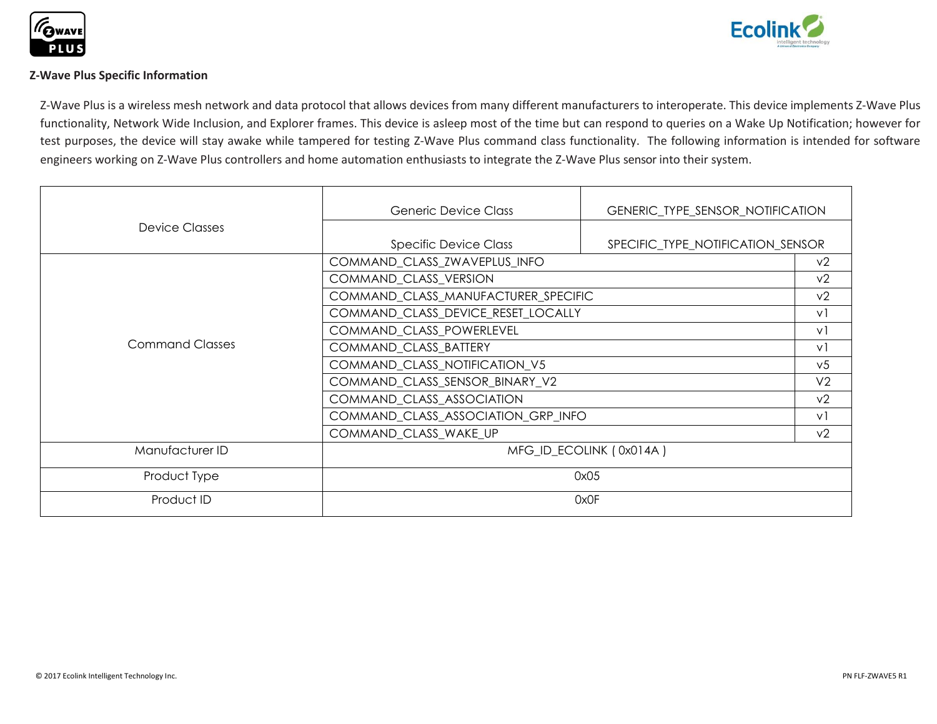



### **Z-Wave Plus Specific Information**

Z-Wave Plus is a wireless mesh network and data protocol that allows devices from many different manufacturers to interoperate. This device implements Z-Wave Plus functionality, Network Wide Inclusion, and Explorer frames. This device is asleep most of the time but can respond to queries on a Wake Up Notification; however for test purposes, the device will stay awake while tampered for testing Z-Wave Plus command class functionality. The following information is intended for software engineers working on Z-Wave Plus controllers and home automation enthusiasts to integrate the Z-Wave Plus sensor into their system.

|                        | <b>Generic Device Class</b>                                       | GENERIC_TYPE_SENSOR_NOTIFICATION |                |
|------------------------|-------------------------------------------------------------------|----------------------------------|----------------|
| Device Classes         |                                                                   |                                  |                |
|                        | <b>Specific Device Class</b><br>SPECIFIC_TYPE_NOTIFICATION_SENSOR |                                  |                |
| <b>Command Classes</b> | COMMAND_CLASS_ZWAVEPLUS_INFO                                      |                                  | v <sub>2</sub> |
|                        | COMMAND_CLASS_VERSION                                             |                                  | v <sub>2</sub> |
|                        | COMMAND_CLASS_MANUFACTURER_SPECIFIC                               |                                  | v <sub>2</sub> |
|                        | COMMAND_CLASS_DEVICE_RESET_LOCALLY                                |                                  | $\vee$         |
|                        | COMMAND_CLASS_POWERLEVEL                                          |                                  | $\vee$         |
|                        | COMMAND_CLASS_BATTERY                                             |                                  | $\vee$         |
|                        | COMMAND_CLASS_NOTIFICATION_V5                                     |                                  | v <sub>5</sub> |
|                        | COMMAND_CLASS_SENSOR_BINARY_V2                                    |                                  | V <sub>2</sub> |
|                        | COMMAND_CLASS_ASSOCIATION                                         |                                  | v <sub>2</sub> |
|                        | COMMAND_CLASS_ASSOCIATION_GRP_INFO                                |                                  | $\vee$         |
|                        | COMMAND_CLASS_WAKE_UP                                             |                                  | v <sub>2</sub> |
| Manufacturer ID        | MFG_ID_ECOLINK (0x014A)                                           |                                  |                |
| Product Type           | 0x05                                                              |                                  |                |
| Product ID             | 0x0F                                                              |                                  |                |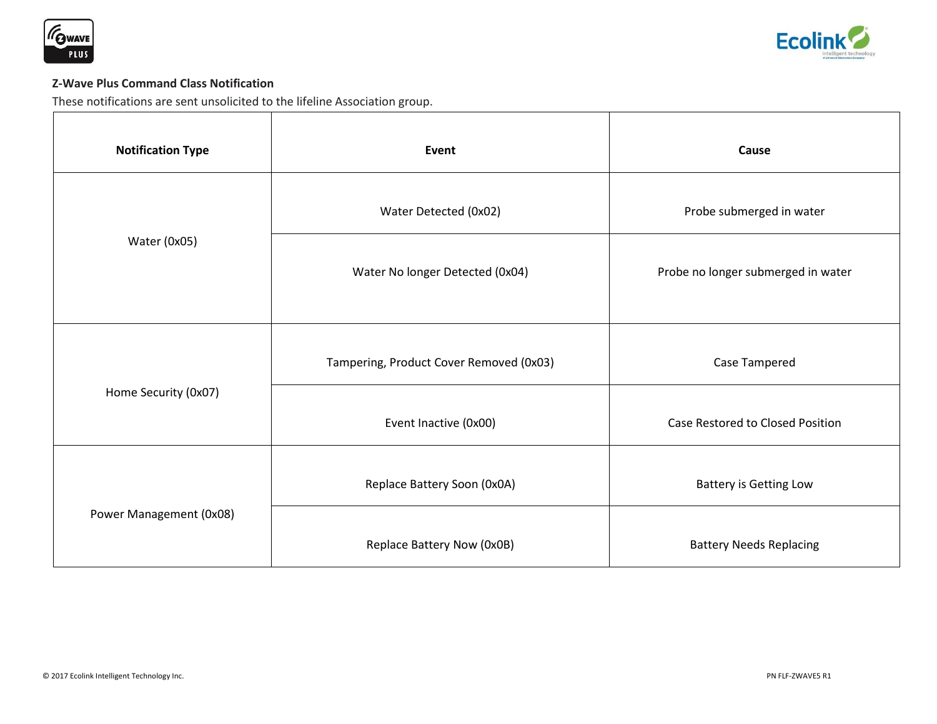



# **Z-Wave Plus Command Class Notification**

These notifications are sent unsolicited to the lifeline Association group.

| <b>Notification Type</b> | Event                                   | Cause                              |
|--------------------------|-----------------------------------------|------------------------------------|
| Water (0x05)             | Water Detected (0x02)                   | Probe submerged in water           |
|                          | Water No longer Detected (0x04)         | Probe no longer submerged in water |
| Home Security (0x07)     | Tampering, Product Cover Removed (0x03) | Case Tampered                      |
|                          | Event Inactive (0x00)                   | Case Restored to Closed Position   |
| Power Management (0x08)  | Replace Battery Soon (0x0A)             | <b>Battery is Getting Low</b>      |
|                          | Replace Battery Now (0x0B)              | <b>Battery Needs Replacing</b>     |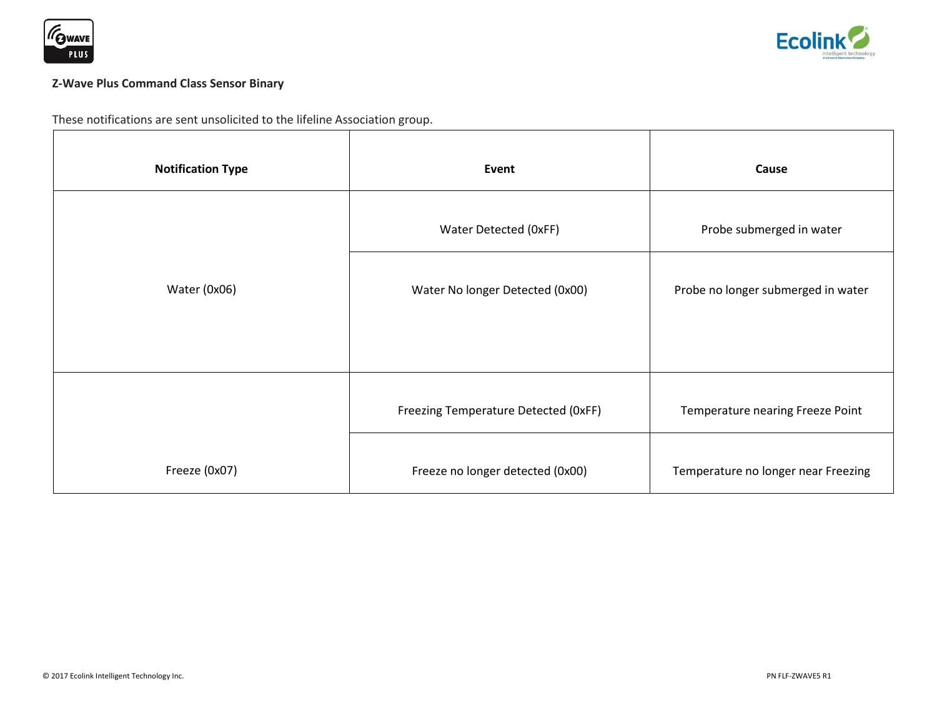



# **Z-Wave Plus Command Class Sensor Binary**

These notifications are sent unsolicited to the lifeline Association group.

| <b>Notification Type</b> | Event                                | Cause                               |
|--------------------------|--------------------------------------|-------------------------------------|
|                          | Water Detected (OxFF)                | Probe submerged in water            |
| Water (0x06)             | Water No longer Detected (0x00)      | Probe no longer submerged in water  |
|                          |                                      |                                     |
|                          | Freezing Temperature Detected (OxFF) | Temperature nearing Freeze Point    |
| Freeze (0x07)            | Freeze no longer detected (0x00)     | Temperature no longer near Freezing |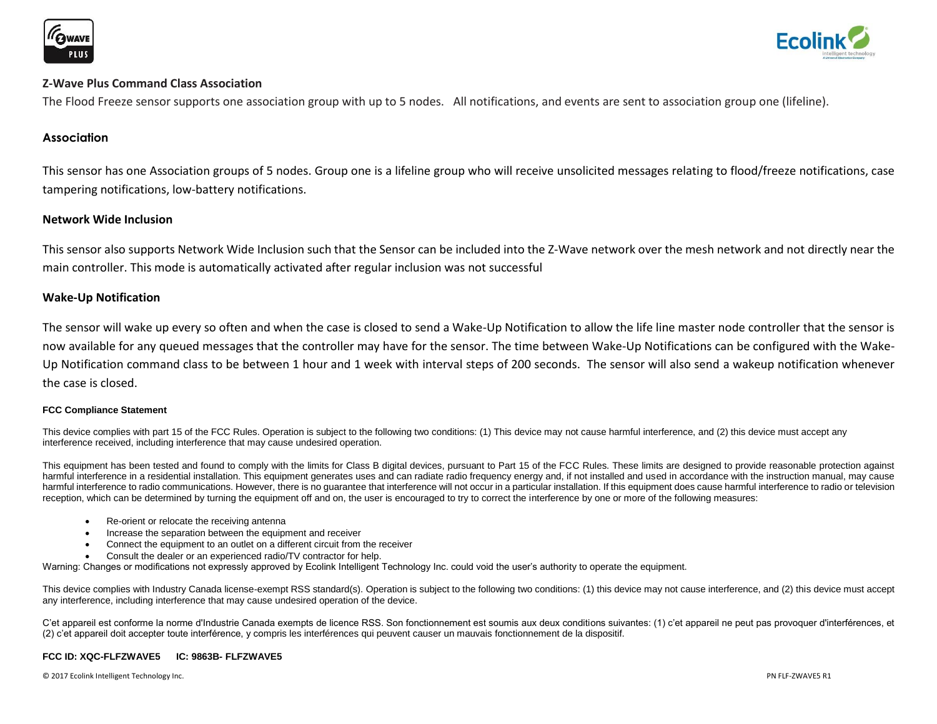



#### **Z-Wave Plus Command Class Association**

The Flood Freeze sensor supports one association group with up to 5 nodes. All notifications, and events are sent to association group one (lifeline).

#### **Association**

This sensor has one Association groups of 5 nodes. Group one is a lifeline group who will receive unsolicited messages relating to flood/freeze notifications, case tampering notifications, low-battery notifications.

#### **Network Wide Inclusion**

This sensor also supports Network Wide Inclusion such that the Sensor can be included into the Z-Wave network over the mesh network and not directly near the main controller. This mode is automatically activated after regular inclusion was not successful

#### **Wake-Up Notification**

The sensor will wake up every so often and when the case is closed to send a Wake-Up Notification to allow the life line master node controller that the sensor is now available for any queued messages that the controller may have for the sensor. The time between Wake-Up Notifications can be configured with the Wake-Up Notification command class to be between 1 hour and 1 week with interval steps of 200 seconds. The sensor will also send a wakeup notification whenever the case is closed.

#### **FCC Compliance Statement**

This device complies with part 15 of the FCC Rules. Operation is subject to the following two conditions: (1) This device may not cause harmful interference, and (2) this device must accept any interference received, including interference that may cause undesired operation.

This equipment has been tested and found to comply with the limits for Class B digital devices, pursuant to Part 15 of the FCC Rules. These limits are designed to provide reasonable protection against harmful interference in a residential installation. This equipment generates uses and can radiate radio frequency energy and, if not installed and used in accordance with the instruction manual, may cause harmful interference to radio communications. However, there is no quarantee that interference will not occur in a particular installation. If this equipment does cause harmful interference to radio or television reception, which can be determined by turning the equipment off and on, the user is encouraged to try to correct the interference by one or more of the following measures:

- Re-orient or relocate the receiving antenna
- Increase the separation between the equipment and receiver
- Connect the equipment to an outlet on a different circuit from the receiver
- Consult the dealer or an experienced radio/TV contractor for help.

Warning: Changes or modifications not expressly approved by Ecolink Intelligent Technology Inc. could void the user's authority to operate the equipment.

This device complies with Industry Canada license-exempt RSS standard(s). Operation is subject to the following two conditions: (1) this device may not cause interference, and (2) this device must accept any interference, including interference that may cause undesired operation of the device.

C'et appareil est conforme la norme d'Industrie Canada exempts de licence RSS. Son fonctionnement est soumis aux deux conditions suivantes: (1) c'et appareil ne peut pas provoquer d'interférences, et (2) c'et appareil doit accepter toute interférence, y compris les interférences qui peuvent causer un mauvais fonctionnement de la dispositif.

#### **FCC ID: XQC-FLFZWAVE5 IC: 9863B- FLFZWAVE5**

© 2017 Ecolink Intelligent Technology Inc. PN FLF-ZWAVE5 R1